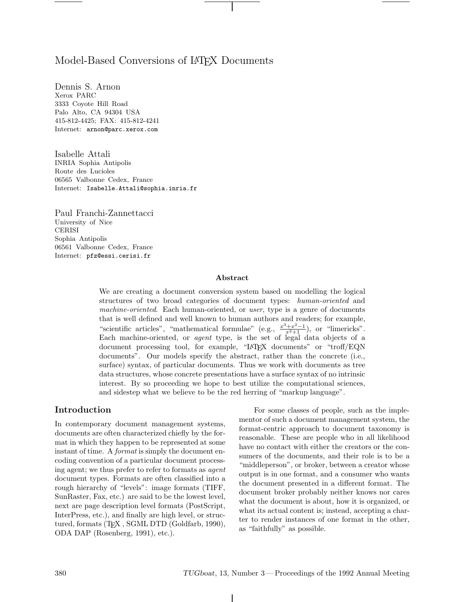## Model-Based Conversions of LAT<sub>EX</sub> Documents

Dennis S. Arnon Xerox PARC 3333 Coyote Hill Road Palo Alto, CA 94304 USA 415-812-4425; FAX: 415-812-4241 Internet: arnon@parc.xerox.com

Isabelle Attali INRIA Sophia Antipolis Route des Lucioles 06565 Valbonne Cedex, France Internet: Isabelle.Attali@sophia.inria.fr

Paul Franchi-Zannettacci University of Nice CERISI Sophia Antipolis 06561 Valbonne Cedex, France Internet: pfz@essi.cerisi.fr

#### **Abstract**

We are creating a document conversion system based on modelling the logical structures of two broad categories of document types: *human-oriented* and *machine-oriented*. Each human-oriented, or *user*, type is a genre of documents that is well defined and well known to human authors and readers; for example, "scientific articles", "mathematical formulae" (e.g.,  $\frac{x^3+x^2-1}{x^2+1}$ ), or "limericks". Each machine-oriented, or *agent* type, is the set of legal data objects of a document processing tool, for example, "LATEX documents" or "troff/EQN documents". Our models specify the abstract, rather than the concrete (i.e., surface) syntax, of particular documents. Thus we work with documents as tree data structures, whose concrete presentations have a surface syntaxof no intrinsic interest. By so proceeding we hope to best utilize the computational sciences, and sidestep what we believe to be the red herring of "markup language".

#### **Introduction**

In contemporary document management systems, documents are often characterized chiefly by the format in which they happen to be represented at some instant of time. A *format* is simply the document encoding convention of a particular document processing agent; we thus prefer to refer to formats as *agent* document types. Formats are often classified into a rough hierarchy of "levels": image formats (TIFF, SunRaster, Fax, etc.) are said to be the lowest level, next are page description level formats (PostScript, InterPress, etc.), and finally are high level, or structured, formats (TEX , SGML DTD (Goldfarb, 1990), ODA DAP (Rosenberg, 1991), etc.).

For some classes of people, such as the implementor of such a document management system, the format-centric approach to document taxonomy is reasonable. These are people who in all likelihood have no contact with either the creators or the consumers of the documents, and their role is to be a "middleperson", or broker, between a creator whose output is in one format, and a consumer who wants the document presented in a different format. The document broker probably neither knows nor cares what the document is about, how it is organized, or what its actual content is; instead, accepting a charter to render instances of one format in the other, as "faithfully" as possible.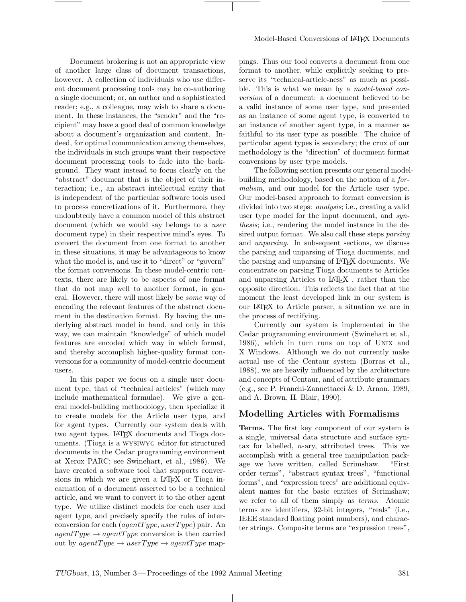Document brokering is not an appropriate view of another large class of document transactions, however. A collection of individuals who use different document processing tools may be co-authoring a single document; or, an author and a sophisticated reader; e.g., a colleague, may wish to share a document. In these instances, the "sender" and the "recipient" may have a good deal of common knowledge about a document's organization and content. Indeed, for optimal communication among themselves, the individuals in such groups want their respective document processing tools to fade into the background. They want instead to focus clearly on the "abstract" document that is the object of their interaction; i.e., an abstract intellectual entity that is independent of the particular software tools used to process concretizations of it. Furthermore, they undoubtedly have a common model of this abstract document (which we would say belongs to a *user* document type) in their respective mind's eyes. To convert the document from one format to another in these situations, it may be advantageous to know what the model is, and use it to "direct" or "govern" the format conversions. In these model-centric contexts, there are likely to be aspects of one format that do not map well to another format, in general. However, there will most likely be *some* way of encoding the relevant features of the abstract document in the destination format. By having the underlying abstract model in hand, and only in this way, we can maintain "knowledge" of which model features are encoded which way in which format, and thereby accomplish higher-quality format conversions for a community of model-centric document users.

In this paper we focus on a single user document type, that of "technical articles" (which may include mathematical formulae). We give a general model-building methodology, then specialize it to create models for the Article user type, and for agent types. Currently our system deals with two agent types, LATEX documents and Tioga documents. (Tioga is a wysiwyg editor for structured documents in the Cedar programming environment at XeroxPARC; see Swinehart, et al., 1986). We have created a software tool that supports conversions in which we are given a LAT<sub>EX</sub> or Tioga incarnation of a document asserted to be a technical article, and we want to convert it to the other agent type. We utilize distinct models for each user and agent type, and precisely specify the rules of interconversion for each (*agentT ype, userT ype*) pair. An  $agentType \rightarrow agentType$  conversion is then carried out by  $agentType \rightarrow userType \rightarrow agentType$  mappings. Thus our tool converts a document from one format to another, while explicitly seeking to preserve its "technical-article-ness" as much as possible. This is what we mean by a *model-based conversion* of a document: a document believed to be a valid instance of some user type, and presented as an instance of some agent type, is converted to an instance of another agent type, in a manner as faithful to its user type as possible. The choice of particular agent types is secondary; the cruxof our methodology is the "direction" of document format conversions by user type models.

The following section presents our general modelbuilding methodology, based on the notion of a *formalism*, and our model for the Article user type. Our model-based approach to format conversion is divided into two steps: *analysis*; i.e., creating a valid user type model for the input document, and *synthesis*; i.e., rendering the model instance in the desired output format. We also call these steps *parsing* and *unparsing*. In subsequent sections, we discuss the parsing and unparsing of Tioga documents, and the parsing and unparsing of LATEX documents. We concentrate on parsing Tioga documents to Articles and unparsing Articles to LATEX , rather than the opposite direction. This reflects the fact that at the moment the least developed link in our system is our LATEX to Article parser, a situation we are in the process of rectifying.

Currently our system is implemented in the Cedar programming environment (Swinehart et al., 1986), which in turn runs on top of UNIX and X Windows. Although we do not currently make actual use of the Centaur system (Borras et al., 1988), we are heavily influenced by the architecture and concepts of Centaur, and of attribute grammars (e.g., see P. Franchi-Zannettacci & D. Arnon, 1989, and A. Brown, H. Blair, 1990).

### **Modelling Articles with Formalisms**

**Terms.** The first key component of our system is a single, universal data structure and surface syntax for labelled,  $n$ -ary, attributed trees. This we accomplish with a general tree manipulation package we have written, called Scrimshaw. "First order terms", "abstract syntax trees", "functional forms", and "expression trees" are additional equivalent names for the basic entities of Scrimshaw; we refer to all of them simply as *terms*. Atomic terms are identifiers, 32-bit integers, "reals" (i.e., IEEE standard floating point numbers), and character strings. Composite terms are "expression trees",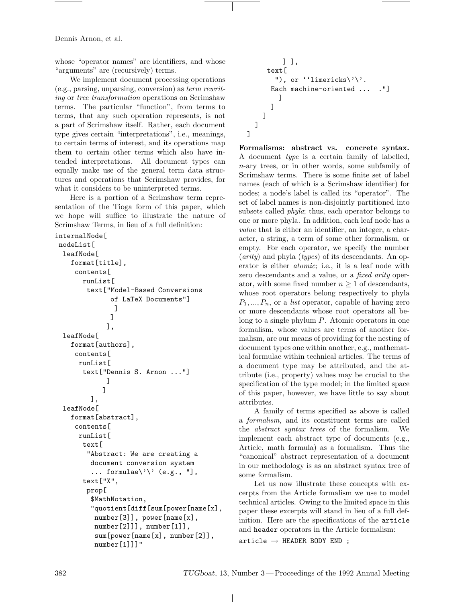whose "operator names" are identifiers, and whose "arguments" are (recursively) terms.

We implement document processing operations (e.g., parsing, unparsing, conversion) as *term rewriting* or *tree transformation* operations on Scrimshaw terms. The particular "function", from terms to terms, that any such operation represents, is not a part of Scrimshaw itself. Rather, each document type gives certain "interpretations", i.e., meanings, to certain terms of interest, and its operations map them to certain other terms which also have intended interpretations. All document types can equally make use of the general term data structures and operations that Scrimshaw provides, for what it considers to be uninterpreted terms.

Here is a portion of a Scrimshaw term representation of the Tioga form of this paper, which we hope will suffice to illustrate the nature of Scrimshaw Terms, in lieu of a full definition:

```
internalNode[
 nodeList[
  leafNode[
    format[title],
     contents[
       runList[
        text["Model-Based Conversions
               of LaTeX Documents"]
                ]
               ]
              ],
  leafNode[
    format[authors],
     contents[
      runList[
       text["Dennis S. Arnon ..."]
              ]
             ]
         ],
  leafNode[
    format[abstract],
     contents[
      runList[
       text[
        "Abstract: We are creating a
         document conversion system
          ... formulae\backslash'\backslash' (e.g., "],
       text["X",
        prop[
         $MathNotation,
          "quotient[diff[sum[power[name[x],
          number[3]], power[name[x],
          number[2]]], number[1]],
           sum[power[name[x], number[2]],
          number[1]]]"
```

```
] ],
     text[
       "), or ''limericks\'\'.
      Each machine-oriented ... ."]
        ]
      ]
    ]
  ]
]
```
**Formalisms: abstract vs. concrete syntax.** A document *type* is a certain family of labelled, *n*-ary trees, or in other words, some subfamily of Scrimshaw terms. There is some finite set of label names (each of which is a Scrimshaw identifier) for nodes; a node's label is called its "operator". The set of label names is non-disjointly partitioned into subsets called *phyla*; thus, each operator belongs to one or more phyla. In addition, each leaf node has a *value* that is either an identifier, an integer, a character, a string, a term of some other formalism, or empty. For each operator, we specify the number (*arity*) and phyla (*types*) of its descendants. An operator is either *atomic*; i.e., it is a leaf node with zero descendants and a value, or a *fixed arity* operator, with some fixed number  $n \geq 1$  of descendants, whose root operators belong respectively to phyla *P*<sup>1</sup>*, ..., P<sup>n</sup>*, or a *list* operator, capable of having zero or more descendants whose root operators all belong to a single phylum *P*. Atomic operators in one formalism, whose values are terms of another formalism, are our means of providing for the nesting of document types one within another, e.g., mathematical formulae within technical articles. The terms of a document type may be attributed, and the attribute (i.e., property) values may be crucial to the specification of the type model; in the limited space of this paper, however, we have little to say about attributes.

A family of terms specified as above is called a *formalism*, and its constituent terms are called the *abstract syntax trees* of the formalism. We implement each abstract type of documents (e.g., Article, math formula) as a formalism. Thus the "canonical" abstract representation of a document in our methodology is as an abstract syntax tree of some formalism.

Let us now illustrate these concepts with excerpts from the Article formalism we use to model technical articles. Owing to the limited space in this paper these excerpts will stand in lieu of a full definition. Here are the specifications of the article and header operators in the Article formalism:

 $article \rightarrow HEADER$  BODY END ;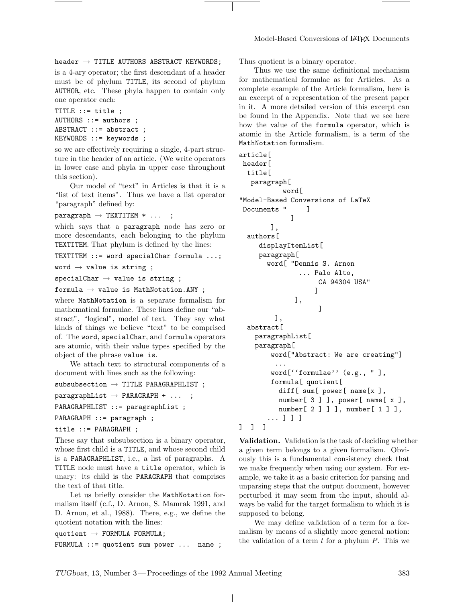$header \rightarrow TITLE AUTHORS ABSTRACT KEYWORDS;$ 

is a 4-ary operator; the first descendant of a header must be of phylum TITLE, its second of phylum AUTHOR, etc. These phyla happen to contain only one operator each:

```
TITLE ::= title ;
AUTHORS ::= authors ;
ABSTRACT ::= abstract ;
KEYWORDS ::= keywords ;
```
so we are effectively requiring a single, 4-part structure in the header of an article. (We write operators in lower case and phyla in upper case throughout this section).

Our model of "text" in Articles is that it is a "list of text items". Thus we have a list operator "paragraph" defined by:

 $\text{param} \rightarrow \text{TEXTITEM} * ...;$ 

which says that a paragraph node has zero or more descendants, each belonging to the phylum TEXTITEM. That phylum is defined by the lines:

TEXTITEM ::= word specialChar formula ...;

word  $\rightarrow$  value is string ;

 $specialChar \rightarrow value$  is string;

formula  $\rightarrow$  value is MathNotation.ANY ;

where MathNotation is a separate formalism for mathematical formulae. These lines define our "abstract", "logical", model of text. They say what kinds of things we believe "text" to be comprised of. The word, specialChar, and formula operators are atomic, with their value types specified by the object of the phrase value is.

We attach text to structural components of a document with lines such as the following:

 $subselection \rightarrow TITLE PARAGRAPHLIST$ ;

```
\text{paragnhList} \rightarrow \text{PARAGRAPH} + \ldots;
```
PARAGRAPHLIST ::= paragraphList ;

```
PARAGRAPH ::= paragraph ;
```
title ::= PARAGRAPH ;

These say that subsubsection is a binary operator, whose first child is a TITLE, and whose second child is a PARAGRAPHLIST, i.e., a list of paragraphs. A TITLE node must have a title operator, which is unary: its child is the PARAGRAPH that comprises the text of that title.

Let us briefly consider the MathNotation formalism itself (c.f., D. Arnon, S. Mamrak 1991, and D. Arnon, et al., 1988). There, e.g., we define the quotient notation with the lines:

quotient  $\rightarrow$  FORMULA FORMULA; FORMULA ::= quotient sum power ... name ; Thus quotient is a binary operator.

Thus we use the same definitional mechanism for mathematical formulae as for Articles. As a complete example of the Article formalism, here is an excerpt of a representation of the present paper in it. A more detailed version of this excerpt can be found in the Appendix. Note that we see here how the value of the formula operator, which is atomic in the Article formalism, is a term of the MathNotation formalism.

```
article[
header[
  title[
  paragraph[
           word[
"Model-Based Conversions of LaTeX
Documents " ]
             ]
        ],
  authors[
     displayItemList[
    paragraph[
       word[ "Dennis S. Arnon
               ... Palo Alto,
                    CA 94304 USA"
                   ]
              ],
                    ]
         ],
  abstract[
    paragraphList[
    paragraph[
        word["Abstract: We are creating"]
         ...
        word[''formulae'' (e.g., " ],
        formula[ quotient[
          diff[ sum[ power[ name[x ],
          number[ 3 ] ], power[ name[ x ],
          number[ 2 ] ] ], number[ 1 ] ],
       ... ] ] ]
]]]
```
**Validation.** Validation is the task of deciding whether a given term belongs to a given formalism. Obviously this is a fundamental consistency check that we make frequently when using our system. For example, we take it as a basic criterion for parsing and unparsing steps that the output document, however perturbed it may seem from the input, should always be valid for the target formalism to which it is supposed to belong.

We may define validation of a term for a formalism by means of a slightly more general notion: the validation of a term *t* for a phylum *P*. This we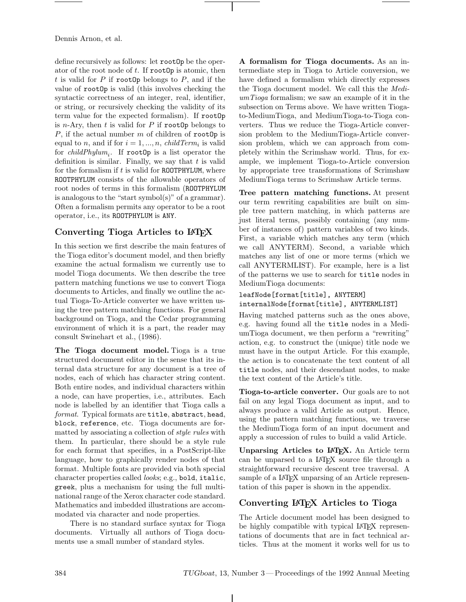define recursively as follows: let rootOp be the operator of the root node of *t*. If rootOp is atomic, then *t* is valid for *P* if rootOp belongs to *P*, and if the value of rootOp is valid (this involves checking the syntactic correctness of an integer, real, identifier, or string, or recursively checking the validity of its term value for the expected formalism). If rootOp is *n*-Ary, then  $t$  is valid for  $P$  if rootOp belongs to *P*, if the actual number *m* of children of rootOp is equal to *n*, and if for  $i = 1, ..., n$ , *childTerm<sub>i</sub>* is valid for *childPhylumi*. If rootOp is a list operator the definition is similar. Finally, we say that *t* is valid for the formalism if *t* is valid for ROOTPHYLUM, where ROOTPHYLUM consists of the allowable operators of root nodes of terms in this formalism (ROOTPHYLUM is analogous to the "start symbol(s)" of a grammar). Often a formalism permits any operator to be a root operator, i.e., its ROOTPHYLUM is ANY.

# **Converting Tioga Articles to LATEX**

In this section we first describe the main features of the Tioga editor's document model, and then briefly examine the actual formalism we currently use to model Tioga documents. We then describe the tree pattern matching functions we use to convert Tioga documents to Articles, and finally we outline the actual Tioga-To-Article converter we have written using the tree pattern matching functions. For general background on Tioga, and the Cedar programming environment of which it is a part, the reader may consult Swinehart et al., (1986).

**The Tioga document model.** Tioga is a true structured document editor in the sense that its internal data structure for any document is a tree of nodes, each of which has character string content. Both entire nodes, and individual characters within a node, can have properties, i.e., attributes. Each node is labelled by an identifier that Tioga calls a *format*. Typical formats are title, abstract, head, block, reference, etc. Tioga documents are formatted by associating a collection of *style rules* with them. In particular, there should be a style rule for each format that specifies, in a PostScript-like language, how to graphically render nodes of that format. Multiple fonts are provided via both special character properties called *looks*; e.g., bold, italic, greek, plus a mechanism for using the full multinational range of the Xerox character code standard. Mathematics and imbedded illustrations are accommodated via character and node properties.

There is no standard surface syntax for Tioga documents. Virtually all authors of Tioga documents use a small number of standard styles.

**A formalism for Tioga documents.** As an intermediate step in Tioga to Article conversion, we have defined a formalism which directly expresses the Tioga document model. We call this the *MediumTioga* formalism; we saw an example of it in the subsection on Terms above. We have written Tiogato-MediumTioga, and MediumTioga-to-Tioga converters. Thus we reduce the Tioga-Article conversion problem to the MediumTioga-Article conversion problem, which we can approach from completely within the Scrimshaw world. Thus, for example, we implement Tioga-to-Article conversion by appropriate tree transformations of Scrimshaw MediumTioga terms to Scrimshaw Article terms.

**Tree pattern matching functions.** At present our term rewriting capabilities are built on simple tree pattern matching, in which patterns are just literal terms, possibly containing (any number of instances of) pattern variables of two kinds. First, a variable which matches any term (which we call ANYTERM). Second, a variable which matches any list of one or more terms (which we call ANYTERMLIST). For example, here is a list of the patterns we use to search for title nodes in MediumTioga documents:

#### leafNode[format[title], ANYTERM] internalNode[format[title], ANYTERMLIST]

Having matched patterns such as the ones above, e.g. having found all the title nodes in a MediumTioga document, we then perform a "rewriting" action, e.g. to construct the (unique) title node we must have in the output Article. For this example, the action is to concatenate the text content of all title nodes, and their descendant nodes, to make the text content of the Article's title.

**Tioga-to-article converter.** Our goals are to not fail on any legal Tioga document as input, and to always produce a valid Article as output. Hence, using the pattern matching functions, we traverse the MediumTioga form of an input document and apply a succession of rules to build a valid Article.

**Unparsing Articles to LATEX.** An Article term can be unparsed to a LATEX source file through a straightforward recursive descent tree traversal. A sample of a LAT<sub>F</sub>X unparsing of an Article representation of this paper is shown in the appendix.

## **Converting LATEX Articles to Tioga**

The Article document model has been designed to be highly compatible with typical LATEX representations of documents that are in fact technical articles. Thus at the moment it works well for us to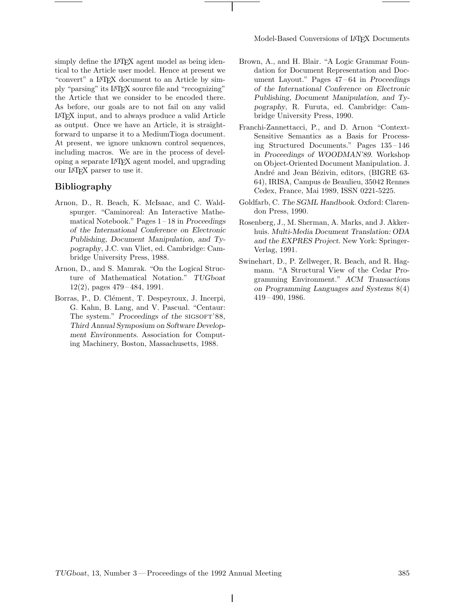simply define the LAT<sub>EX</sub> agent model as being identical to the Article user model. Hence at present we "convert" a LATEX document to an Article by simply "parsing" its LATEX source file and "recognizing" the Article that we consider to be encoded there. As before, our goals are to not fail on any valid LATEX input, and to always produce a valid Article as output. Once we have an Article, it is straightforward to unparse it to a MediumTioga document. At present, we ignore unknown control sequences, including macros. We are in the process of developing a separate LATEX agent model, and upgrading our LATEX parser to use it.

#### **Bibliography**

- Arnon, D., R. Beach, K. McIsaac, and C. Waldspurger. "Caminoreal: An Interactive Mathematical Notebook." Pages 1 – 18 in *Proceedings of the International Conference on Electronic Publishing, Document Manipulation, and Typography*, J.C. van Vliet, ed. Cambridge: Cambridge University Press, 1988.
- Arnon, D., and S. Mamrak. "On the Logical Structure of Mathematical Notation." *TUGboat* 12(2), pages 479 – 484, 1991.
- Borras, P., D. Clément, T. Despeyroux, J. Incerpi, G. Kahn, B. Lang, and V. Pascual. "Centaur: The system." Proceedings of the SIGSOFT'88, *Third Annual Symposium on Software Development Environments*. Association for Computing Machinery, Boston, Massachusetts, 1988.
- Brown, A., and H. Blair. "A Logic Grammar Foundation for Document Representation and Document Layout." Pages 47 – 64 in *Proceedings of the International Conference on Electronic Publishing, Document Manipulation, and Typography*, R. Furuta, ed. Cambridge: Cambridge University Press, 1990.
- Franchi-Zannettacci, P., and D. Arnon "Context-Sensitive Semantics as a Basis for Processing Structured Documents." Pages 135 – 146 in *Proceedings of WOODMAN'89*. Workshop on Object-Oriented Document Manipulation. J. André and Jean Bézivin, editors, (BIGRE 63-64), IRISA, Campus de Beaulieu, 35042 Rennes Cedex, France, Mai 1989, ISSN 0221-5225.
- Goldfarb, C. The SGML Handbook. Oxford: Clarendon Press, 1990.
- Rosenberg, J., M. Sherman, A. Marks, and J. Akkerhuis. *Multi-Media Document Translation: ODA and the EXPRES Project*. New York: Springer-Verlag, 1991.
- Swinehart, D., P. Zellweger, R. Beach, and R. Hagmann. "A Structural View of the Cedar Programming Environment." *ACM Transactions on Programming Languages and Systems* 8(4) 419 – 490, 1986.

 $\mathbf{I}$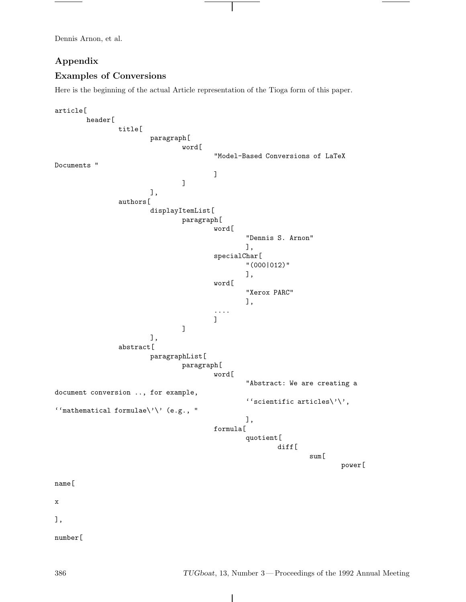## **Appendix**

## **Examples of Conversions**

Here is the beginning of the actual Article representation of the Tioga form of this paper.

```
article[
         header[
                  title[
                           paragraph[
                                    word[
                                              "Model-Based Conversions of LaTeX
Documents "
                                             ]
                                    ]
                           ],
                  authors[
                           displayItemList[
                                    paragraph[
                                             word[
                                                       "Dennis S. Arnon"
                                                      ],
                                             specialChar[
                                                       "(000|012)"
                                                      ],
                                             word[
                                                       "Xerox PARC"
                                                      ],
                                              ....
                                             ]
                                    ]
                           ],
                  abstract[
                           paragraphList[
                                    paragraph[
                                             word[
                                                       "Abstract: We are creating a
document conversion .., for example,
                                                       ''scientific articles\backslash'\backslash',
''mathematical formulae\langle \cdot \rangle' (e.g., "
                                                      ],
                                             formula[
                                                      quotient[
                                                                diff[
                                                                         sum[
                                                                                  power[
name[
\mathbf x],
number[
```
 $\overline{\phantom{a}}$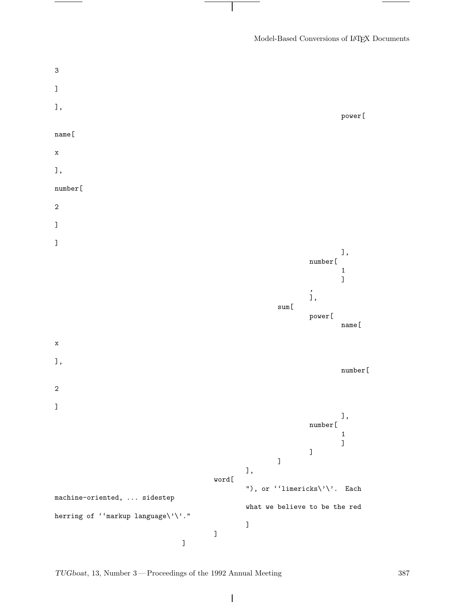Model-Based Conversions of LATEX Documents



 $\mathbf{I}$ 

*TUGboat*, 13, Number 3—Proceedings of the 1992 Annual Meeting 387

 $\overline{\phantom{a}}$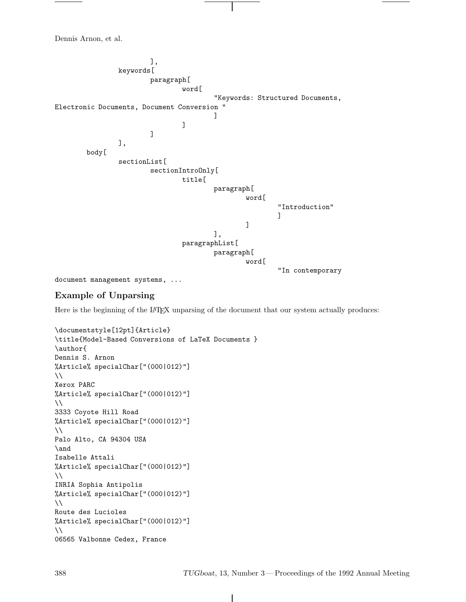], keywords[ paragraph[ word[ "Keywords: Structured Documents, Electronic Documents, Document Conversion " ] ] ] ], body[ sectionList[ sectionIntroOnly[ title[ paragraph[ word[ "Introduction" ] ] ], paragraphList[ paragraph[ word[ "In contemporary

document management systems, ...

## **Example of Unparsing**

Here is the beginning of the LATEX unparsing of the document that our system actually produces:

```
\documentstyle[12pt]{Article}
\title{Model-Based Conversions of LaTeX Documents }
\author{
Dennis S. Arnon
%Article% specialChar["(000|012)"]
\lambdaXerox PARC
%Article% specialChar["(000|012)"]
\lambda\lambda3333 Coyote Hill Road
%Article% specialChar["(000|012)"]
\lambdaPalo Alto, CA 94304 USA
\and
Isabelle Attali
%Article% specialChar["(000|012)"]
\lambda\lambdaINRIA Sophia Antipolis
%Article% specialChar["(000|012)"]
\lambda\lambdaRoute des Lucioles
%Article% specialChar["(000|012)"]
\lambda06565 Valbonne Cedex, France
```